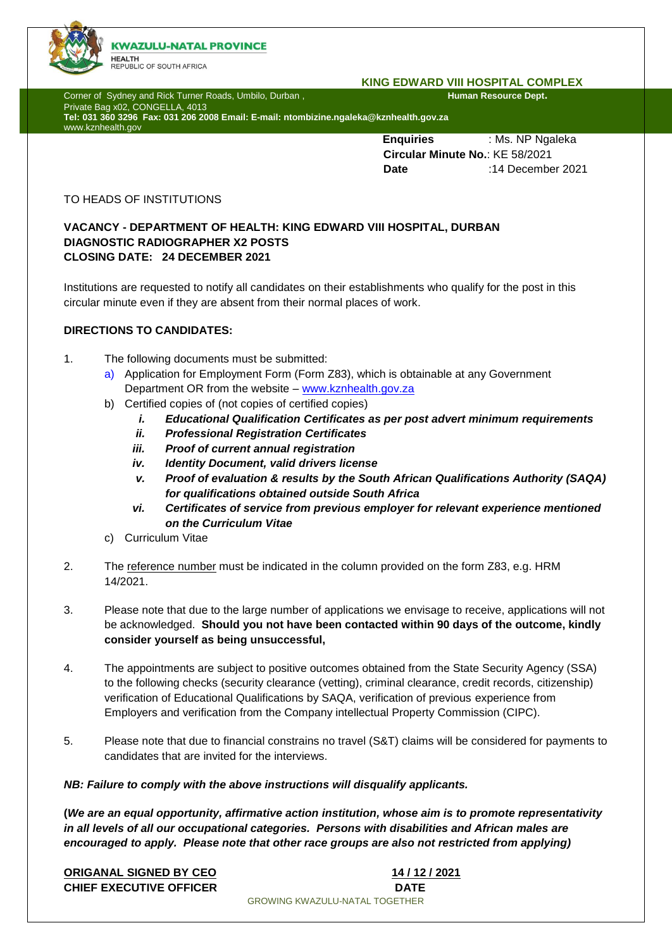

#### **KING EDWARD VIII HOSPITAL COMPLEX**

Corner of Sydney and Rick Turner Roads, Umbilo, Durban , **Human Resource Dept. Human Resource Dept.** 

Private Bag x02, CONGELLA, 4013 **Tel: 031 360 3296 Fax: 031 206 2008 Email: E-mail: ntombizine.ngaleka@kznhealth.gov.za** www.kznhealth.gov

> **Enquiries** : Ms. NP Ngaleka  **Circular Minute No.**: KE 58/2021 **Date** :14 December 2021

## TO HEADS OF INSTITUTIONS

# **VACANCY - DEPARTMENT OF HEALTH: KING EDWARD VIII HOSPITAL, DURBAN DIAGNOSTIC RADIOGRAPHER X2 POSTS CLOSING DATE: 24 DECEMBER 2021**

Institutions are requested to notify all candidates on their establishments who qualify for the post in this circular minute even if they are absent from their normal places of work.

# **DIRECTIONS TO CANDIDATES:**

- 1. The following documents must be submitted:
	- a) Application for Employment Form (Form Z83), which is obtainable at any Government Department OR from the website – www.kznhealth.gov.za
	- b) Certified copies of (not copies of certified copies)
		- *i. Educational Qualification Certificates as per post advert minimum requirements*
		- *ii. Professional Registration Certificates*
		- *iii. Proof of current annual registration*
		- *iv. Identity Document, valid drivers license*
		- *v. Proof of evaluation & results by the South African Qualifications Authority (SAQA) for qualifications obtained outside South Africa*
		- *vi. Certificates of service from previous employer for relevant experience mentioned on the Curriculum Vitae*
	- c) Curriculum Vitae
- 2. The reference number must be indicated in the column provided on the form Z83, e.g. HRM 14/2021.
- 3. Please note that due to the large number of applications we envisage to receive, applications will not be acknowledged. **Should you not have been contacted within 90 days of the outcome, kindly consider yourself as being unsuccessful,**
- 4. The appointments are subject to positive outcomes obtained from the State Security Agency (SSA) to the following checks (security clearance (vetting), criminal clearance, credit records, citizenship) verification of Educational Qualifications by SAQA, verification of previous experience from Employers and verification from the Company intellectual Property Commission (CIPC).
- 5. Please note that due to financial constrains no travel (S&T) claims will be considered for payments to candidates that are invited for the interviews.

## *NB: Failure to comply with the above instructions will disqualify applicants.*

**(***We are an equal opportunity, affirmative action institution, whose aim is to promote representativity in all levels of all our occupational categories. Persons with disabilities and African males are encouraged to apply. Please note that other race groups are also not restricted from applying)*

**ORIGANAL SIGNED BY CEO 14 / 12 / 2021 CHIEF EXECUTIVE OFFICER DATE** GROWING KWAZULU-NATAL TOGETHER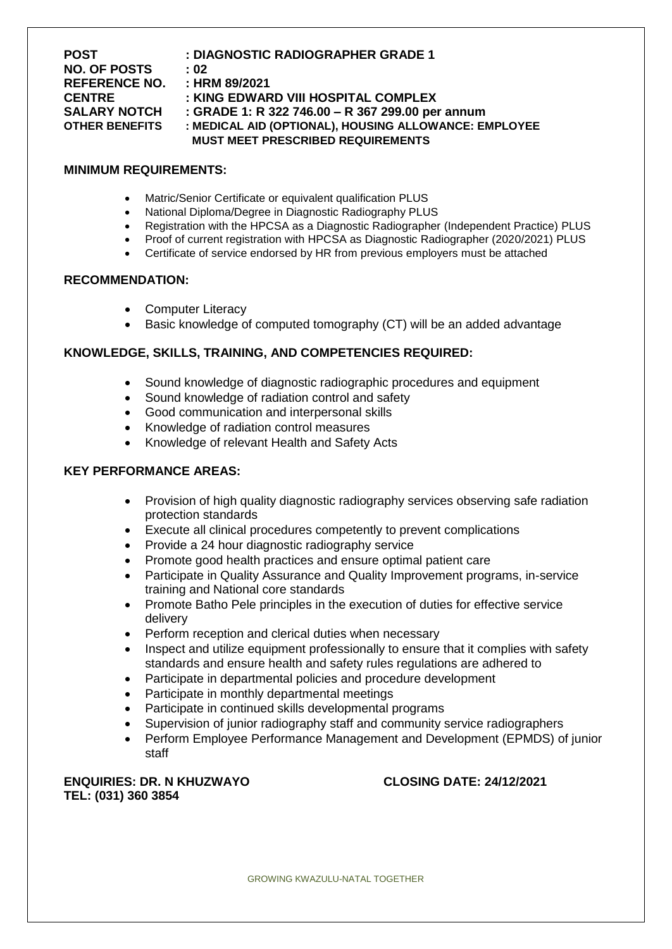| <b>POST</b>           | : DIAGNOSTIC RADIOGRAPHER GRADE 1                     |
|-----------------------|-------------------------------------------------------|
| <b>NO. OF POSTS</b>   | : 02                                                  |
| <b>REFERENCE NO.</b>  | : HRM 89/2021                                         |
| <b>CENTRE</b>         | : KING EDWARD VIII HOSPITAL COMPLEX                   |
| <b>SALARY NOTCH</b>   | : GRADE 1: R 322 746.00 - R 367 299.00 per annum      |
| <b>OTHER BENEFITS</b> | : MEDICAL AID (OPTIONAL), HOUSING ALLOWANCE: EMPLOYEE |
|                       | <b>MUST MEET PRESCRIBED REQUIREMENTS</b>              |

#### **MINIMUM REQUIREMENTS:**

- Matric/Senior Certificate or equivalent qualification PLUS
- National Diploma/Degree in Diagnostic Radiography PLUS
- Registration with the HPCSA as a Diagnostic Radiographer (Independent Practice) PLUS
- Proof of current registration with HPCSA as Diagnostic Radiographer (2020/2021) PLUS
- Certificate of service endorsed by HR from previous employers must be attached

# **RECOMMENDATION:**

- Computer Literacy
- Basic knowledge of computed tomography (CT) will be an added advantage

## **KNOWLEDGE, SKILLS, TRAINING, AND COMPETENCIES REQUIRED:**

- Sound knowledge of diagnostic radiographic procedures and equipment
- Sound knowledge of radiation control and safety
- Good communication and interpersonal skills
- Knowledge of radiation control measures
- Knowledge of relevant Health and Safety Acts

## **KEY PERFORMANCE AREAS:**

- Provision of high quality diagnostic radiography services observing safe radiation protection standards
- Execute all clinical procedures competently to prevent complications
- Provide a 24 hour diagnostic radiography service
- Promote good health practices and ensure optimal patient care
- Participate in Quality Assurance and Quality Improvement programs, in-service training and National core standards
- Promote Batho Pele principles in the execution of duties for effective service delivery
- Perform reception and clerical duties when necessary
- Inspect and utilize equipment professionally to ensure that it complies with safety standards and ensure health and safety rules regulations are adhered to
- Participate in departmental policies and procedure development
- Participate in monthly departmental meetings
- Participate in continued skills developmental programs
- Supervision of junior radiography staff and community service radiographers
- Perform Employee Performance Management and Development (EPMDS) of junior staff

**ENQUIRIES: DR. N KHUZWAYO CLOSING DATE: 24/12/2021 TEL: (031) 360 3854**

GROWING KWAZULU-NATAL TOGETHER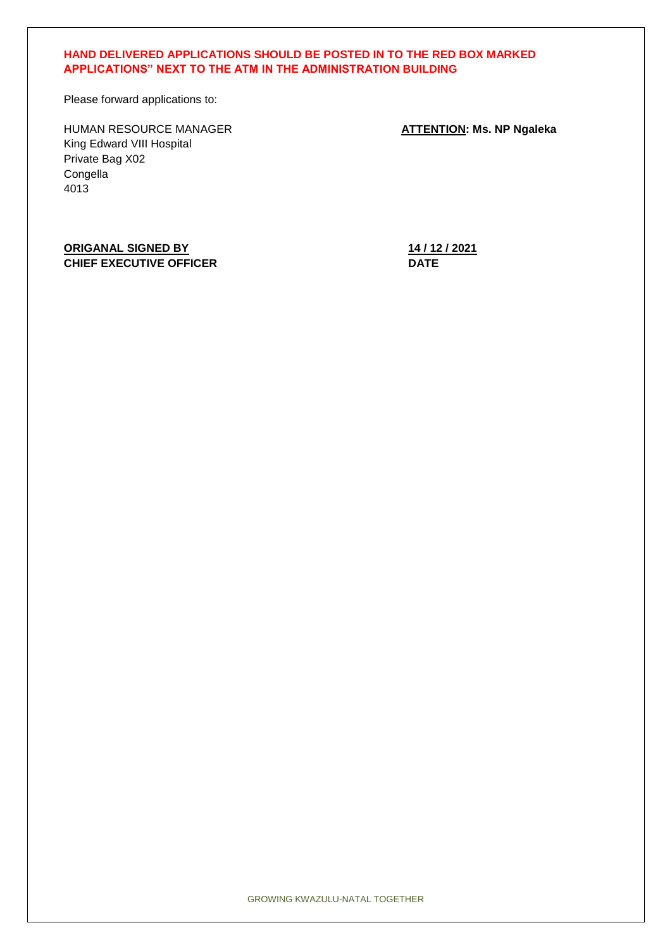## **HAND DELIVERED APPLICATIONS SHOULD BE POSTED IN TO THE RED BOX MARKED APPLICATIONS" NEXT TO THE ATM IN THE ADMINISTRATION BUILDING**

Please forward applications to:

HUMAN RESOURCE MANAGER **ATTENTION: Ms. NP Ngaleka** King Edward VIII Hospital Private Bag X02 Congella 4013

**ORIGANAL SIGNED BY 14 / 12 / 2021 CHIEF EXECUTIVE OFFICER DATE** 

GROWING KWAZULU-NATAL TOGETHER